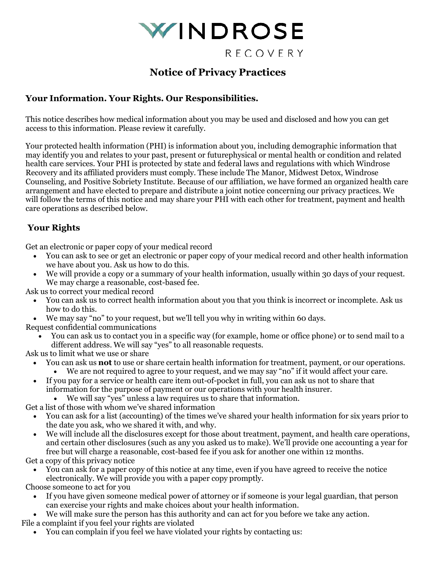

# **Notice of Privacy Practices**

# **Your Information. Your Rights. Our Responsibilities.**

This notice describes how medical information about you may be used and disclosed and how you can get access to this information. Please review it carefully.

Your protected health information (PHI) is information about you, including demographic information that may identify you and relates to your past, present or futurephysical or mental health or condition and related health care services. Your PHI is protected by state and federal laws and regulations with which Windrose Recovery and its affiliated providers must comply. These include The Manor, Midwest Detox, Windrose Counseling, and Positive Sobriety Institute. Because of our affiliation, we have formed an organized health care arrangement and have elected to prepare and distribute a joint notice concerning our privacy practices. We will follow the terms of this notice and may share your PHI with each other for treatment, payment and health care operations as described below.

# **Your Rights**

Get an electronic or paper copy of your medical record

- You can ask to see or get an electronic or paper copy of your medical record and other health information we have about you. Ask us how to do this.
- We will provide a copy or a summary of your health information, usually within 30 days of your request. We may charge a reasonable, cost-based fee.

Ask us to correct your medical record

- You can ask us to correct health information about you that you think is incorrect or incomplete. Ask us how to do this.
- We may say "no" to your request, but we'll tell you why in writing within 60 days.
- Request confidential communications
	- You can ask us to contact you in a specific way (for example, home or office phone) or to send mail to a different address. We will say "yes" to all reasonable requests.

Ask us to limit what we use or share

- You can ask us **not** to use or share certain health information for treatment, payment, or our operations.
- We are not required to agree to your request, and we may say "no" if it would affect your care.
- If you pay for a service or health care item out-of-pocket in full, you can ask us not to share that information for the purpose of payment or our operations with your health insurer.

• We will say "yes" unless a law requires us to share that information.

Get a list of those with whom we've shared information

- You can ask for a list (accounting) of the times we've shared your health information for six years prior to the date you ask, who we shared it with, and why.
- We will include all the disclosures except for those about treatment, payment, and health care operations, and certain other disclosures (such as any you asked us to make). We'll provide one accounting a year for free but will charge a reasonable, cost-based fee if you ask for another one within 12 months.

Get a copy of this privacy notice

• You can ask for a paper copy of this notice at any time, even if you have agreed to receive the notice electronically. We will provide you with a paper copy promptly.

Choose someone to act for you

- If you have given someone medical power of attorney or if someone is your legal guardian, that person can exercise your rights and make choices about your health information.
- We will make sure the person has this authority and can act for you before we take any action. File a complaint if you feel your rights are violated
	- You can complain if you feel we have violated your rights by contacting us: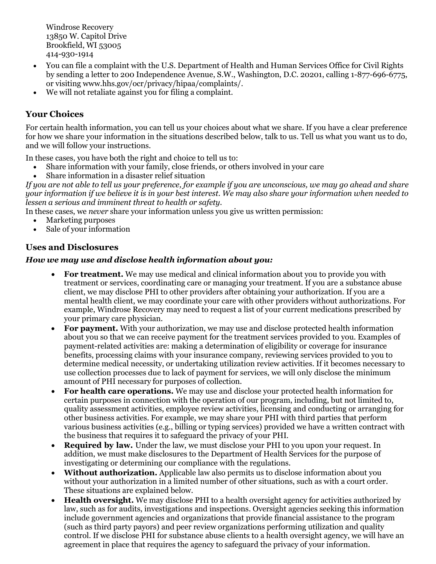Windrose Recovery 13850 W. Capitol Drive Brookfield, WI 53005 414-930-1914

- You can file a complaint with the U.S. Department of Health and Human Services Office for Civil Rights by sending a letter to 200 Independence Avenue, S.W., Washington, D.C. 20201, calling 1-877-696-6775, or visiting [www.hhs.gov/ocr/privacy/hipaa/complaints/.](http://www.hhs.gov/ocr/privacy/hipaa/complaints/)
- We will not retaliate against you for filing a complaint.

# **Your Choices**

For certain health information, you can tell us your choices about what we share. If you have a clear preference for how we share your information in the situations described below, talk to us. Tell us what you want us to do, and we will follow your instructions.

In these cases, you have both the right and choice to tell us to:

- Share information with your family, close friends, or others involved in your care
- Share information in a disaster relief situation

*If you are not able to tell us your preference, for example if you are unconscious, we may go ahead and share your information if we believe it is in your best interest. We may also share your information when needed to lessen a serious and imminent threat to health or safety.*

In these cases, we *never* share your information unless you give us written permission:

- Marketing purposes
- Sale of your information

### **Uses and Disclosures**

#### *How we may use and disclose health information about you:*

- **For treatment.** We may use medical and clinical information about you to provide you with treatment or services, coordinating care or managing your treatment. If you are a substance abuse client, we may disclose PHI to other providers after obtaining your authorization. If you are a mental health client, we may coordinate your care with other providers without authorizations. For example, Windrose Recovery may need to request a list of your current medications prescribed by your primary care physician.
- **For payment.** With your authorization, we may use and disclose protected health information about you so that we can receive payment for the treatment services provided to you. Examples of payment-related activities are: making a determination of eligibility or coverage for insurance benefits, processing claims with your insurance company, reviewing services provided to you to determine medical necessity, or undertaking utilization review activities. If it becomes necessary to use collection processes due to lack of payment for services, we will only disclose the minimum amount of PHI necessary for purposes of collection.
- **For health care operations.** We may use and disclose your protected health information for certain purposes in connection with the operation of our program, including, but not limited to, quality assessment activities, employee review activities, licensing and conducting or arranging for other business activities. For example, we may share your PHI with third parties that perform various business activities (e.g., billing or typing services) provided we have a written contract with the business that requires it to safeguard the privacy of your PHI.
- **Required by law.** Under the law, we must disclose your PHI to you upon your request. In addition, we must make disclosures to the Department of Health Services for the purpose of investigating or determining our compliance with the regulations.
- **Without authorization.** Applicable law also permits us to disclose information about you without your authorization in a limited number of other situations, such as with a court order. These situations are explained below.
- **Health oversight.** We may disclose PHI to a health oversight agency for activities authorized by law, such as for audits, investigations and inspections. Oversight agencies seeking this information include government agencies and organizations that provide financial assistance to the program (such as third party payors) and peer review organizations performing utilization and quality control. If we disclose PHI for substance abuse clients to a health oversight agency, we will have an agreement in place that requires the agency to safeguard the privacy of your information.